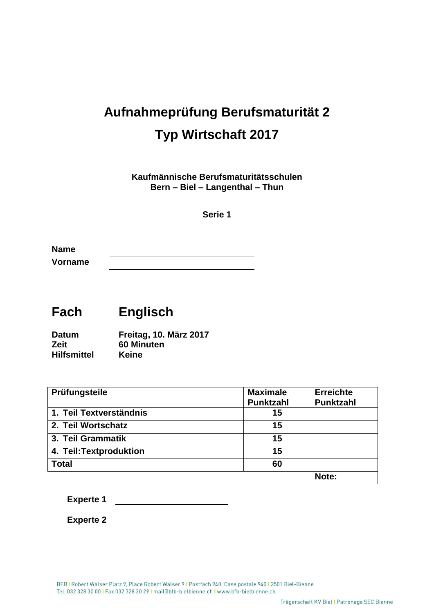## **Aufnahmeprüfung Berufsmaturität 2 Typ Wirtschaft 2017**

**Kaufmännische Berufsmaturitätsschulen Bern – Biel – Langenthal – Thun**

**Serie 1**

**Name Vorname**

## **Fach Englisch**

**Datum Freitag, 10. März 2017 Zeit 60 Minuten Hilfsmittel Keine**

| Prüfungsteile           | <b>Maximale</b>  | <b>Erreichte</b> |
|-------------------------|------------------|------------------|
|                         | <b>Punktzahl</b> | <b>Punktzahl</b> |
| 1. Teil Textverständnis | 15               |                  |
| 2. Teil Wortschatz      | 15               |                  |
| 3. Teil Grammatik       | 15               |                  |
| 4. Teil: Textproduktion | 15               |                  |
| <b>Total</b>            | 60               |                  |
|                         |                  | Note:            |

**Experte 1**

**Experte 2**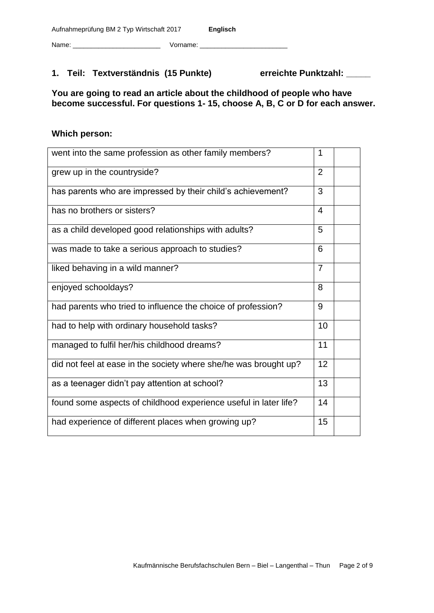#### Name: \_\_\_\_\_\_\_\_\_\_\_\_\_\_\_\_\_\_\_\_\_\_\_\_ Vorname: \_\_\_\_\_\_\_\_\_\_\_\_\_\_\_\_\_\_\_\_\_\_\_\_

#### **1. Teil: Textverständnis (15 Punkte) erreichte Punktzahl: \_\_\_\_\_**

**You are going to read an article about the childhood of people who have become successful. For questions 1- 15, choose A, B, C or D for each answer.** 

#### **Which person:**

| went into the same profession as other family members?           | 1              |  |
|------------------------------------------------------------------|----------------|--|
| grew up in the countryside?                                      | 2              |  |
| has parents who are impressed by their child's achievement?      | 3              |  |
| has no brothers or sisters?                                      | 4              |  |
| as a child developed good relationships with adults?             | 5              |  |
| was made to take a serious approach to studies?                  | 6              |  |
| liked behaving in a wild manner?                                 | $\overline{7}$ |  |
| enjoyed schooldays?                                              | 8              |  |
| had parents who tried to influence the choice of profession?     | 9              |  |
| had to help with ordinary household tasks?                       | 10             |  |
| managed to fulfil her/his childhood dreams?                      | 11             |  |
| did not feel at ease in the society where she/he was brought up? | 12             |  |
| as a teenager didn't pay attention at school?                    | 13             |  |
| found some aspects of childhood experience useful in later life? | 14             |  |
| had experience of different places when growing up?              | 15             |  |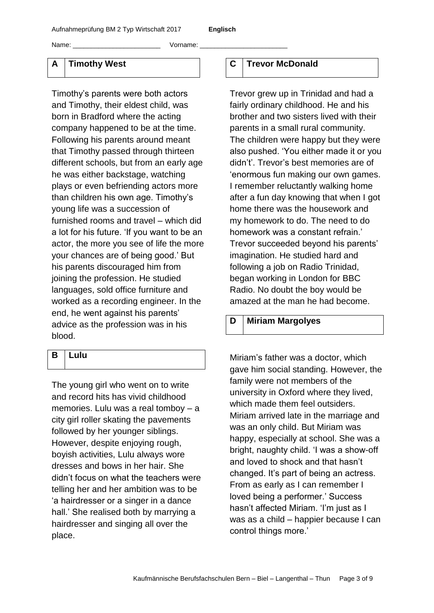Name: \_\_\_\_\_\_\_\_\_\_\_\_\_\_\_\_\_\_\_\_\_\_\_\_ Vorname: \_\_\_\_\_\_\_\_\_\_\_\_\_\_\_\_\_\_\_\_\_\_\_\_

#### **A Timothy West**

Timothy's parents were both actors and Timothy, their eldest child, was born in Bradford where the acting company happened to be at the time. Following his parents around meant that Timothy passed through thirteen different schools, but from an early age he was either backstage, watching plays or even befriending actors more than children his own age. Timothy's young life was a succession of furnished rooms and travel – which did a lot for his future. 'If you want to be an actor, the more you see of life the more your chances are of being good.' But his parents discouraged him from joining the profession. He studied languages, sold office furniture and worked as a recording engineer. In the end, he went against his parents' advice as the profession was in his blood.

#### **B Lulu**

The young girl who went on to write and record hits has vivid childhood memories. Lulu was a real tomboy – a city girl roller skating the pavements followed by her younger siblings. However, despite enjoying rough, boyish activities, Lulu always wore dresses and bows in her hair. She didn't focus on what the teachers were telling her and her ambition was to be 'a hairdresser or a singer in a dance hall.' She realised both by marrying a hairdresser and singing all over the place.

#### **C Trevor McDonald**

Trevor grew up in Trinidad and had a fairly ordinary childhood. He and his brother and two sisters lived with their parents in a small rural community. The children were happy but they were also pushed. 'You either made it or you didn't'. Trevor's best memories are of 'enormous fun making our own games. I remember reluctantly walking home after a fun day knowing that when I got home there was the housework and my homework to do. The need to do homework was a constant refrain.' Trevor succeeded beyond his parents' imagination. He studied hard and following a job on Radio Trinidad, began working in London for BBC Radio. No doubt the boy would be amazed at the man he had become.

#### **D Miriam Margolyes**

Miriam's father was a doctor, which gave him social standing. However, the family were not members of the university in Oxford where they lived, which made them feel outsiders. Miriam arrived late in the marriage and was an only child. But Miriam was happy, especially at school. She was a bright, naughty child. 'I was a show-off and loved to shock and that hasn't changed. It's part of being an actress. From as early as I can remember I loved being a performer.' Success hasn't affected Miriam. 'I'm just as I was as a child – happier because I can control things more.'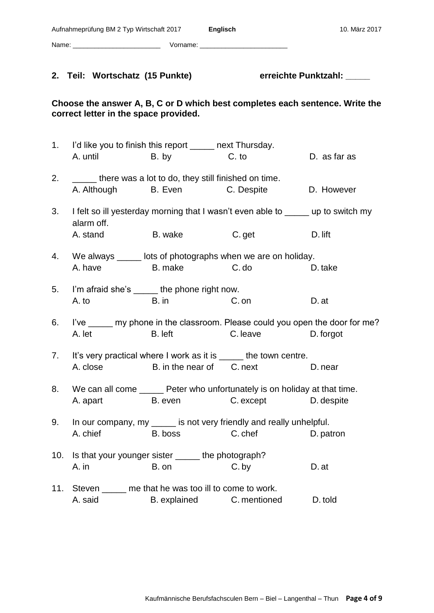|     | Aufnahmeprüfung BM 2 Typ Wirtschaft 2017 Englisch                          |                           |                                                                                                    | 10. März 2017                                                                |
|-----|----------------------------------------------------------------------------|---------------------------|----------------------------------------------------------------------------------------------------|------------------------------------------------------------------------------|
|     |                                                                            |                           |                                                                                                    |                                                                              |
|     | 2. Teil: Wortschatz (15 Punkte)                                            |                           |                                                                                                    | erreichte Punktzahl: _____                                                   |
|     | correct letter in the space provided.                                      |                           |                                                                                                    | Choose the answer A, B, C or D which best completes each sentence. Write the |
| 1.  | I'd like you to finish this report ______ next Thursday.<br>A. until B. by |                           | C. to                                                                                              | D. as far as                                                                 |
| 2.  | ______ there was a lot to do, they still finished on time.                 |                           | A. Although B. Even C. Despite                                                                     | D. However                                                                   |
| 3.  | alarm off.                                                                 |                           | I felt so ill yesterday morning that I wasn't even able to ______ up to switch my                  |                                                                              |
|     | A. stand                                                                   | B. wake                   | C. get                                                                                             | D. lift                                                                      |
| 4.  | A. have B. make                                                            |                           | We always ______ lots of photographs when we are on holiday.<br>C. do                              | D. take                                                                      |
| 5.  | I'm afraid she's ______ the phone right now.<br>A. to                      | $B.$ in                   | C. on                                                                                              | D. at                                                                        |
| 6.  | A. let                                                                     | B. left                   | I've <u>eignen</u> my phone in the classroom. Please could you open the door for me?<br>C. leave   | D. forgot                                                                    |
| 7.  | A. close                                                                   | B. in the near of C. next | It's very practical where I work as it is ____ the town centre.                                    | D. near                                                                      |
| 8.  | A. apart B. even                                                           |                           | We can all come ______ Peter who unfortunately is on holiday at that time.<br>C. except D. despite |                                                                              |
| 9.  | A. chief                                                                   | B. boss                   | In our company, my ______ is not very friendly and really unhelpful.<br>C. chef                    | D. patron                                                                    |
| 10. | Is that your younger sister _____ the photograph?<br>A. in                 | B. on                     | C. by                                                                                              | D. at                                                                        |
|     | 11. Steven _____ me that he was too ill to come to work.<br>A. said        |                           | B. explained C. mentioned                                                                          | D. told                                                                      |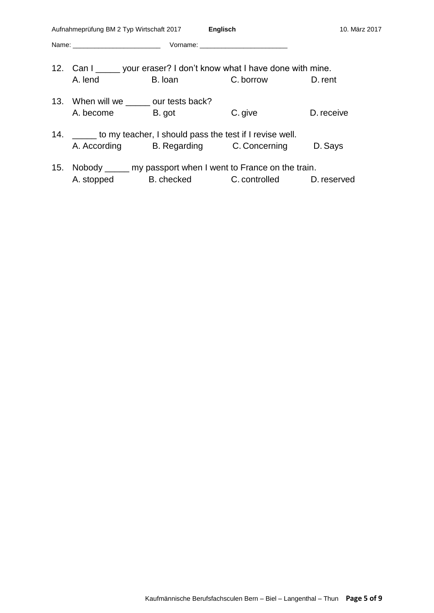|         |         |                                                              | 10. März 2017                                                                                                                                                                                                                                                                                                                                                       |
|---------|---------|--------------------------------------------------------------|---------------------------------------------------------------------------------------------------------------------------------------------------------------------------------------------------------------------------------------------------------------------------------------------------------------------------------------------------------------------|
|         |         |                                                              |                                                                                                                                                                                                                                                                                                                                                                     |
|         |         |                                                              |                                                                                                                                                                                                                                                                                                                                                                     |
| A. lend | B. Ioan | C. borrow D. rent                                            |                                                                                                                                                                                                                                                                                                                                                                     |
|         |         |                                                              |                                                                                                                                                                                                                                                                                                                                                                     |
|         |         | C. give                                                      | D. receive                                                                                                                                                                                                                                                                                                                                                          |
|         |         |                                                              |                                                                                                                                                                                                                                                                                                                                                                     |
|         |         |                                                              | D. Says                                                                                                                                                                                                                                                                                                                                                             |
|         |         |                                                              |                                                                                                                                                                                                                                                                                                                                                                     |
|         |         |                                                              |                                                                                                                                                                                                                                                                                                                                                                     |
|         |         | 13. When will we _______ our tests back?<br>A. become B. got | Aufnahmeprüfung BM 2 Typ Wirtschaft 2017 Englisch<br>12. Can I ______ your eraser? I don't know what I have done with mine.<br>14. ______ to my teacher, I should pass the test if I revise well.<br>A. According B. Regarding C. Concerning<br>15. Nobody _____ my passport when I went to France on the train.<br>A. stopped B. checked C. controlled D. reserved |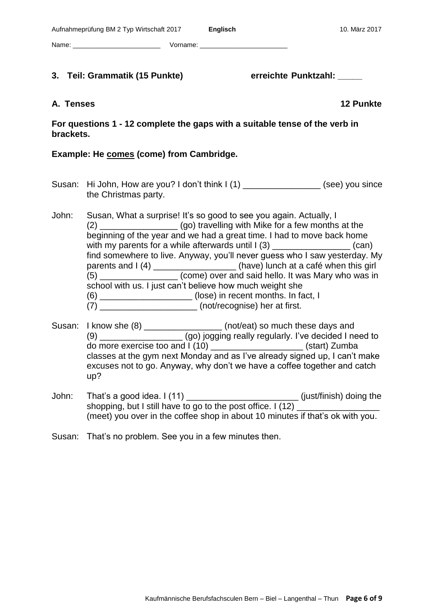**3. Teil: Grammatik (15 Punkte) erreichte Punktzahl: \_\_\_\_\_**

#### Kaufmännische Berufsfachsculen Bern – Biel – Langenthal – Thun **Page 6 of 9**

**For questions 1 - 12 complete the gaps with a suitable tense of the verb in brackets.**

#### **Example: He comes (come) from Cambridge.**

Name: \_\_\_\_\_\_\_\_\_\_\_\_\_\_\_\_\_\_\_\_\_\_\_\_ Vorname: \_\_\_\_\_\_\_\_\_\_\_\_\_\_\_\_\_\_\_\_\_\_\_\_

- Susan: Hi John, How are you? I don't think I (1) \_\_\_\_\_\_\_\_\_\_\_\_\_\_\_\_(see) you since the Christmas party.
- John: Susan, What a surprise! It's so good to see you again. Actually, I (2)  $(qo)$  travelling with Mike for a few months at the beginning of the year and we had a great time. I had to move back home with my parents for a while afterwards until  $I(3)$  \_\_\_\_\_\_\_\_\_\_\_\_\_\_\_\_\_\_\_\_\_(can) find somewhere to live. Anyway, you'll never guess who I saw yesterday. My parents and I (4) \_\_\_\_\_\_\_\_\_\_\_\_\_\_\_\_\_\_\_(have) lunch at a café when this girl  $(5)$   $(6)$   $(6)$   $(6)$   $(7)$   $(10)$   $(10)$  over and said hello. It was Mary who was in school with us. I just can't believe how much weight she (6) \_\_\_\_\_\_\_\_\_\_\_\_\_\_\_\_\_\_\_ (lose) in recent months. In fact, I (7) \_\_\_\_\_\_\_\_\_\_\_\_\_\_\_\_\_\_\_\_ (not/recognise) her at first.
- Susan: I know she  $(8)$  \_\_\_\_\_\_\_\_\_\_\_\_\_\_\_\_\_\_\_\_ (not/eat) so much these days and (9) \_\_\_\_\_\_\_\_\_\_\_\_\_\_\_\_\_ (go) jogging really regularly. I've decided I need to do more exercise too and I (10) \_\_\_\_\_\_\_\_\_\_\_\_\_\_\_\_\_\_\_ (start) Zumba classes at the gym next Monday and as I've already signed up, I can't make excuses not to go. Anyway, why don't we have a coffee together and catch up?
- John: That's a good idea. I (11) \_\_\_\_\_\_\_\_\_\_\_\_\_\_\_\_\_\_\_\_\_\_\_ (just/finish) doing the shopping, but I still have to go to the post office.  $1(12)$ (meet) you over in the coffee shop in about 10 minutes if that's ok with you.
- Susan: That's no problem. See you in a few minutes then.

# **A. Tenses 12 Punkte**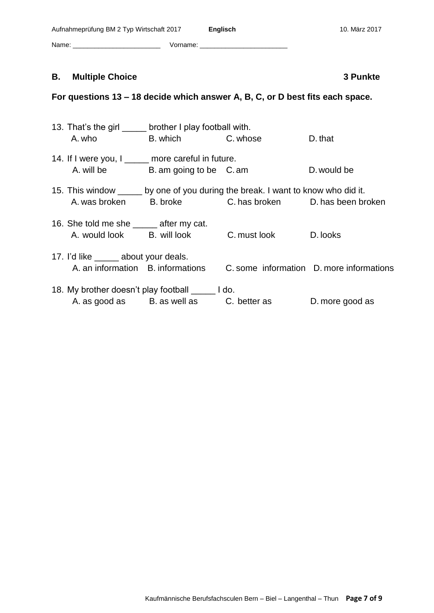| Aufnahmeprüfung BM 2 Typ Wirtschaft 2017 |          | Englisch | 10. März 2017 |
|------------------------------------------|----------|----------|---------------|
| Name:                                    | Vorname: |          |               |

#### **B.** Multiple Choice **3 Punkte** 3 Punkte

### **For questions 13 – 18 decide which answer A, B, C, or D best fits each space.**

| 13. That's the girl ______ brother I play football with. |                                          |                                                                                  |                                          |
|----------------------------------------------------------|------------------------------------------|----------------------------------------------------------------------------------|------------------------------------------|
| A. who                                                   | B. which C. whose                        |                                                                                  | D. that                                  |
| 14. If I were you, I _____ more careful in future.       |                                          |                                                                                  |                                          |
| A. will be                                               | B. am going to be C. am                  |                                                                                  | D, would be                              |
|                                                          |                                          | 15. This window _____ by one of you during the break. I want to know who did it. |                                          |
| A. was broken                                            |                                          | B. broke C. has broken D. has been broken                                        |                                          |
| 16. She told me she ______ after my cat.                 |                                          |                                                                                  |                                          |
| A. would look B. will look                               |                                          | C. must look                                                                     | D. looks                                 |
| 17. I'd like ______ about your deals.                    |                                          |                                                                                  |                                          |
| A, an information B, informations                        |                                          |                                                                                  | C. some information D. more informations |
| 18. My brother doesn't play football loo.                |                                          |                                                                                  |                                          |
|                                                          | A. as good as B. as well as C. better as |                                                                                  | D. more good as                          |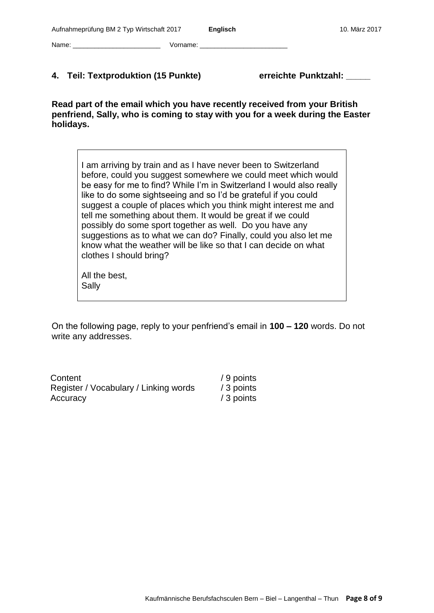Name: \_\_\_\_\_\_\_\_\_\_\_\_\_\_\_\_\_\_\_\_\_\_\_\_ Vorname: \_\_\_\_\_\_\_\_\_\_\_\_\_\_\_\_\_\_\_\_\_\_\_\_

#### **4. Teil: Textproduktion (15 Punkte) erreichte Punktzahl: \_\_\_\_\_**

**Read part of the email which you have recently received from your British penfriend, Sally, who is coming to stay with you for a week during the Easter holidays.**

I am arriving by train and as I have never been to Switzerland before, could you suggest somewhere we could meet which would be easy for me to find? While I'm in Switzerland I would also really like to do some sightseeing and so I'd be grateful if you could suggest a couple of places which you think might interest me and tell me something about them. It would be great if we could possibly do some sport together as well. Do you have any suggestions as to what we can do? Finally, could you also let me know what the weather will be like so that I can decide on what clothes I should bring?

All the best, Sally

On the following page, reply to your penfriend's email in **100 – 120** words. Do not write any addresses.

| Content                               | / 9 points |
|---------------------------------------|------------|
| Register / Vocabulary / Linking words | / 3 points |
| Accuracy                              | / 3 points |